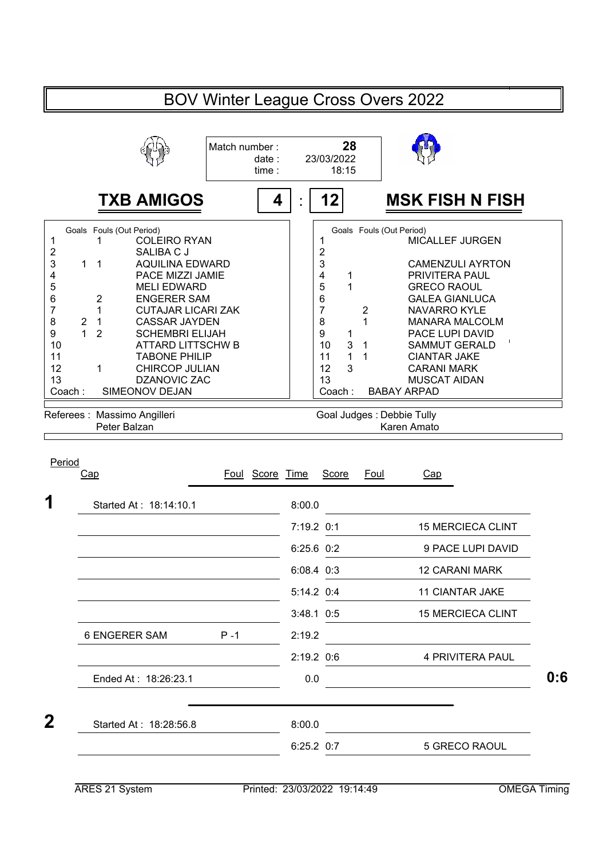|                                   |                                                                                                                                                                                                                                                                                                                                         | Match number: | date:<br>time:  | 28<br>23/03/2022<br>18:15                                                                     |                                    |                                                                                                                                                                                                                                           |  |
|-----------------------------------|-----------------------------------------------------------------------------------------------------------------------------------------------------------------------------------------------------------------------------------------------------------------------------------------------------------------------------------------|---------------|-----------------|-----------------------------------------------------------------------------------------------|------------------------------------|-------------------------------------------------------------------------------------------------------------------------------------------------------------------------------------------------------------------------------------------|--|
|                                   | <b>TXB AMIGOS</b>                                                                                                                                                                                                                                                                                                                       |               | 4               | 12                                                                                            |                                    | <b>MSK FISH N FISH</b>                                                                                                                                                                                                                    |  |
| $\mathbf{1}$<br>2<br>$\mathbf{1}$ | Goals Fouls (Out Period)<br><b>COLEIRO RYAN</b><br>1<br>SALIBA C J<br>$\overline{1}$<br><b>AQUILINA EDWARD</b><br>PACE MIZZI JAMIE<br><b>MELI EDWARD</b><br><b>ENGERER SAM</b><br>2<br>1<br><b>CUTAJAR LICARI ZAK</b><br><b>CASSAR JAYDEN</b><br>$\overline{1}$<br>$\overline{2}$<br><b>SCHEMBRI ELIJAH</b><br><b>ATTARD LITTSCHW B</b> |               |                 | 1<br>$\overline{2}$<br>3<br>4<br>1<br>5<br>1<br>6<br>$\overline{7}$<br>8<br>9<br>1<br>3<br>10 | $\overline{\mathbf{c}}$<br>1<br>-1 | Goals Fouls (Out Period)<br><b>MICALLEF JURGEN</b><br><b>CAMENZULI AYRTON</b><br>PRIVITERA PAUL<br><b>GRECO RAOUL</b><br><b>GALEA GIANLUCA</b><br><b>NAVARRO KYLE</b><br><b>MANARA MALCOLM</b><br>PACE LUPI DAVID<br><b>SAMMUT GERALD</b> |  |
| 11<br>12<br>13<br>Coach:          | <b>TABONE PHILIP</b><br>1<br><b>CHIRCOP JULIAN</b><br>DZANOVIC ZAC<br>SIMEONOV DEJAN                                                                                                                                                                                                                                                    |               |                 | $\mathbf{1}$<br>11<br>3<br>12<br>13<br>Coach:                                                 | 1                                  | <b>CIANTAR JAKE</b><br><b>CARANI MARK</b><br><b>MUSCAT AIDAN</b><br><b>BABAY ARPAD</b>                                                                                                                                                    |  |
|                                   | Referees : Massimo Angilleri                                                                                                                                                                                                                                                                                                            |               |                 |                                                                                               |                                    | Goal Judges : Debbie Tully                                                                                                                                                                                                                |  |
|                                   | Peter Balzan                                                                                                                                                                                                                                                                                                                            |               |                 |                                                                                               |                                    | Karen Amato                                                                                                                                                                                                                               |  |
|                                   | Cap                                                                                                                                                                                                                                                                                                                                     |               | Foul Score Time | <b>Score</b>                                                                                  | Foul                               | Cap                                                                                                                                                                                                                                       |  |
|                                   | Started At: 18:14:10.1                                                                                                                                                                                                                                                                                                                  |               | 8:00.0          |                                                                                               |                                    |                                                                                                                                                                                                                                           |  |
|                                   |                                                                                                                                                                                                                                                                                                                                         |               | 7:19.2 0:1      |                                                                                               |                                    | <b>15 MERCIECA CLINT</b>                                                                                                                                                                                                                  |  |
|                                   |                                                                                                                                                                                                                                                                                                                                         |               |                 | 6:25.6 0:2                                                                                    |                                    | 9 PACE LUPI DAVID                                                                                                                                                                                                                         |  |
|                                   |                                                                                                                                                                                                                                                                                                                                         |               |                 | 6:08.4 0:3                                                                                    |                                    | <b>12 CARANI MARK</b>                                                                                                                                                                                                                     |  |
|                                   |                                                                                                                                                                                                                                                                                                                                         |               |                 | 5:14.2 0:4                                                                                    |                                    | 11 CIANTAR JAKE                                                                                                                                                                                                                           |  |
|                                   |                                                                                                                                                                                                                                                                                                                                         |               |                 | $3:48.1$ 0:5                                                                                  |                                    | <b>15 MERCIECA CLINT</b>                                                                                                                                                                                                                  |  |
|                                   | 6 ENGERER SAM                                                                                                                                                                                                                                                                                                                           | $P - 1$       | 2:19.2          |                                                                                               |                                    |                                                                                                                                                                                                                                           |  |
|                                   |                                                                                                                                                                                                                                                                                                                                         |               |                 | 2:19.2 0:6                                                                                    |                                    | 4 PRIVITERA PAUL                                                                                                                                                                                                                          |  |
| Period                            | Ended At: 18:26:23.1                                                                                                                                                                                                                                                                                                                    |               | 0.0             |                                                                                               |                                    |                                                                                                                                                                                                                                           |  |
|                                   | Started At: 18:28:56.8                                                                                                                                                                                                                                                                                                                  |               | 8:00.0          |                                                                                               |                                    |                                                                                                                                                                                                                                           |  |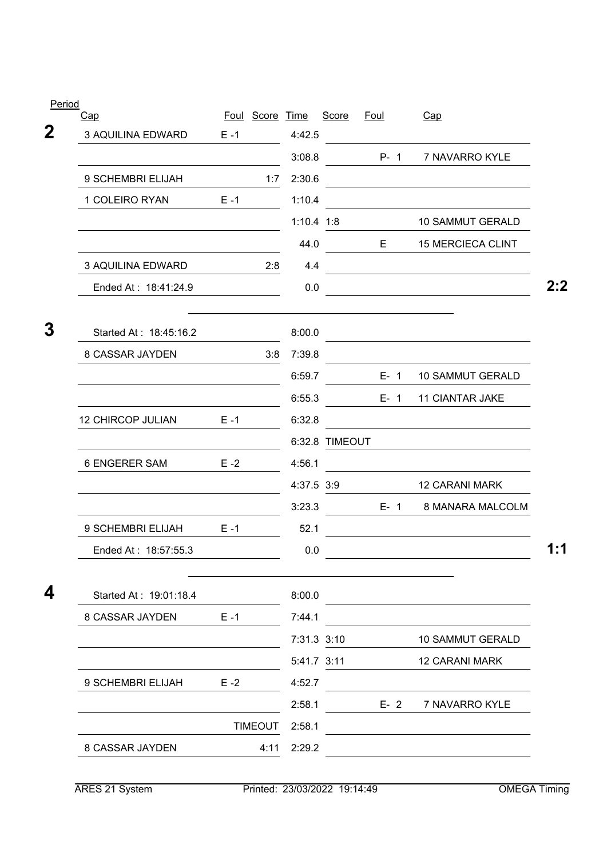| Period                   |         | Foul Score Time |              | Score          | <b>Foul</b> | Cap                      |
|--------------------------|---------|-----------------|--------------|----------------|-------------|--------------------------|
| Cap<br>3 AQUILINA EDWARD | $E - 1$ |                 | 4:42.5       |                |             |                          |
|                          |         |                 | 3:08.8       |                | $P - 1$     | 7 NAVARRO KYLE           |
| 9 SCHEMBRI ELIJAH        |         | 1:7             | 2:30.6       |                |             |                          |
| 1 COLEIRO RYAN           | $E - 1$ |                 | 1:10.4       |                |             |                          |
|                          |         |                 | $1:10.4$ 1:8 |                |             | <b>10 SAMMUT GERALD</b>  |
|                          |         |                 | 44.0         |                | E.          | <b>15 MERCIECA CLINT</b> |
| 3 AQUILINA EDWARD        |         | 2:8             | 4.4          |                |             |                          |
| Ended At: 18:41:24.9     |         |                 | 0.0          |                |             |                          |
|                          |         |                 |              |                |             |                          |
| Started At: 18:45:16.2   |         |                 | 8:00.0       |                |             |                          |
| <b>8 CASSAR JAYDEN</b>   |         | 3:8             | 7:39.8       |                |             |                          |
|                          |         |                 | 6:59.7       |                | $E - 1$     | 10 SAMMUT GERALD         |
|                          |         |                 | 6:55.3       |                | $E-1$       | 11 CIANTAR JAKE          |
| 12 CHIRCOP JULIAN        | $E - 1$ |                 | 6:32.8       |                |             |                          |
|                          |         |                 |              | 6:32.8 TIMEOUT |             |                          |
| <b>6 ENGERER SAM</b>     | $E - 2$ |                 | 4:56.1       |                |             |                          |
|                          |         |                 | 4:37.5 3:9   |                |             | 12 CARANI MARK           |
|                          |         |                 | 3:23.3       |                | $E-1$       | 8 MANARA MALCOLM         |
| 9 SCHEMBRI ELIJAH        | $E - 1$ |                 | 52.1         |                |             |                          |
| Ended At: 18:57:55.3     |         |                 | 0.0          |                |             |                          |
| Started At: 19:01:18.4   |         |                 | 8:00.0       |                |             |                          |
| 8 CASSAR JAYDEN          | $E - 1$ |                 | 7:44.1       |                |             |                          |
|                          |         |                 | 7:31.3 3:10  |                |             | 10 SAMMUT GERALD         |
|                          |         |                 | 5:41.7 3:11  |                |             | 12 CARANI MARK           |
| 9 SCHEMBRI ELIJAH        | $E - 2$ |                 | 4:52.7       |                |             |                          |
|                          |         |                 | 2:58.1       |                | $E-2$       | 7 NAVARRO KYLE           |
|                          |         | <b>TIMEOUT</b>  | 2:58.1       |                |             |                          |
| 8 CASSAR JAYDEN          |         | 4:11            | 2:29.2       |                |             |                          |